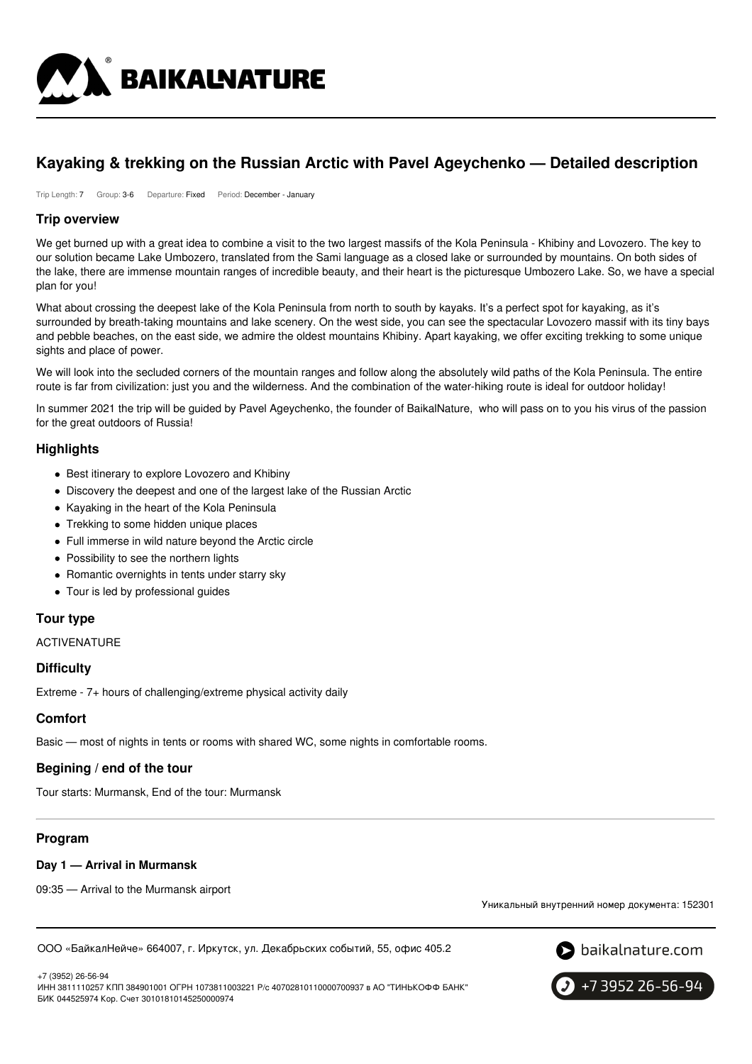

# **Kayaking & trekking on the Russian Arctic with Pavel Ageychenko — Detailed description**

Trip Length: 7 Group: 3-6 Departure: Fixed Period: December - January

### **Trip overview**

We get burned up with a great idea to combine a visit to the two largest massifs of the Kola Peninsula - Khibiny and Lovozero. The key to our solution became Lake Umbozero, translated from the Sami language as a closed lake or surrounded by mountains. On both sides of the lake, there are immense mountain ranges of incredible beauty, and their heart is the picturesque Umbozero Lake. So, we have a special plan for you!

What about crossing the deepest lake of the Kola Peninsula from north to south by kayaks. It's a perfect spot for kayaking, as it's surrounded by breath-taking mountains and lake scenery. On the west side, you can see the spectacular Lovozero massif with its tiny bays and pebble beaches, on the east side, we admire the oldest mountains Khibiny. Apart kayaking, we offer exciting trekking to some unique sights and place of power.

We will look into the secluded corners of the mountain ranges and follow along the absolutely wild paths of the Kola Peninsula. The entire route is far from civilization: just you and the wilderness. And the combination of the water-hiking route is ideal for outdoor holiday!

In summer 2021 the trip will be guided by Pavel Ageychenko, the founder of BaikalNature, who will pass on to you his virus of the passion for the great outdoors of Russia!

### **Highlights**

- Best itinerary to explore Lovozero and Khibiny
- Discovery the deepest and one of the largest lake of the Russian Arctic
- Kayaking in the heart of the Kola Peninsula
- Trekking to some hidden unique places
- Full immerse in wild nature beyond the Arctic circle
- Possibility to see the northern lights
- Romantic overnights in tents under starry sky
- Tour is led by professional guides

### **Tour type**

ACTIVENATURE

### **Difficulty**

Extreme - 7+ hours of challenging/extreme physical activity daily

### **Comfort**

Basic — most of nights in tents or rooms with shared WC, some nights in comfortable rooms.

### **Begining / end of the tour**

Tour starts: Murmansk, End of the tour: Murmansk

### **Program**

### **Day 1 — Arrival in Murmansk**

09:35 — Arrival to the Murmansk airport

Уникальный внутренний номер документа: 152301

ООО «БайкалНейче» 664007, г. Иркутск, ул. Декабрьских событий, 55, офис 405.2



+7 (3952) 26-56-94 ИНН 3811110257 КПП 384901001 ОГРН 1073811003221 Р/с 40702810110000700937 в АО "ТИНЬКОФФ БАНК" БИК 044525974 Кор. Счет 30101810145250000974

+7 3952 26-56-94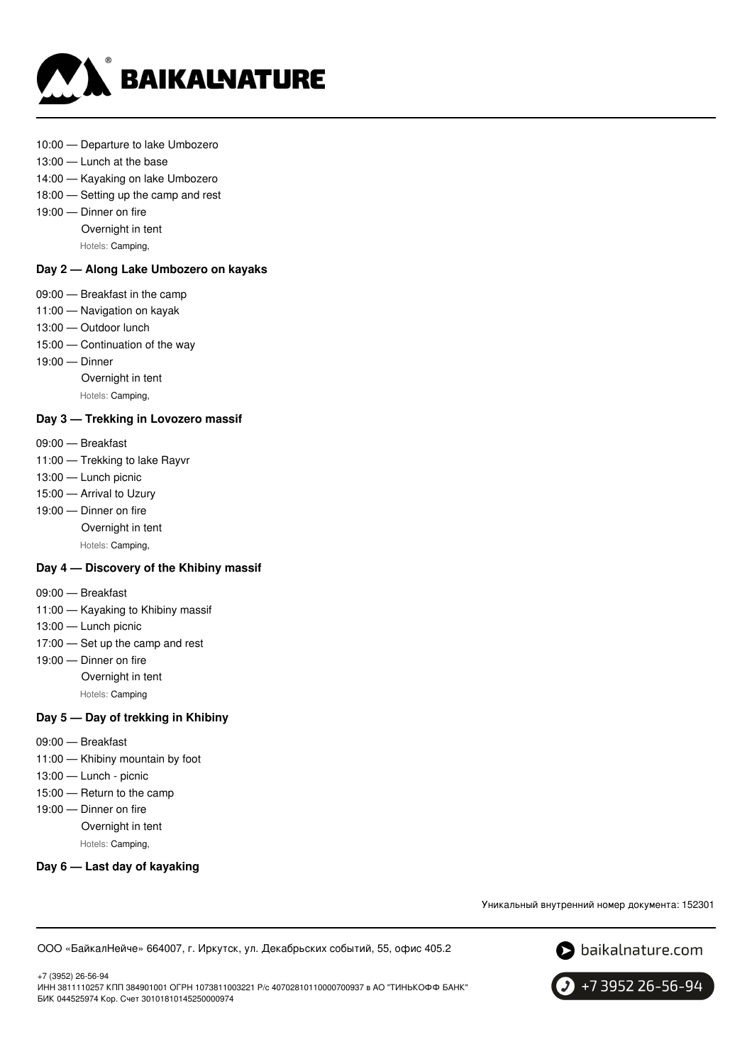

#### 10:00 — Departure to lake Umbozero

- 13:00 Lunch at the base
- 14:00 Kayaking on lake Umbozero
- 18:00 Setting up the camp and rest
- 19:00 Dinner on fire
	- Overnight in tent
	- Hotels: Camping,

### **Day 2 — Along Lake Umbozero on kayaks**

- 09:00 Breakfast in the camp
- 11:00 Navigation on kayak
- 13:00 Outdoor lunch
- 15:00 Continuation of the way
- 19:00 Dinner
	- Overnight in tent
	- Hotels: Camping,

#### **Day 3 — Trekking in Lovozero massif**

- 09:00 Breakfast
- 11:00 Trekking to lake Rayvr
- 13:00 Lunch picnic
- 15:00 Arrival to Uzury
- 19:00 Dinner on fire Overnight in tent
	- Hotels: Camping,

#### **Day 4 — Discovery of the Khibiny massif**

- 09:00 Breakfast
- 11:00 Kayaking to Khibiny massif
- 13:00 Lunch picnic
- 17:00 Set up the camp and rest
- 19:00 Dinner on fire
	- Overnight in tent
	- Hotels: Camping

#### **Day 5 — Day of trekking in Khibiny**

- 09:00 Breakfast
- 11:00 Khibiny mountain by foot
- 13:00 Lunch picnic
- 15:00 Return to the camp
- 19:00 Dinner on fire
	- Overnight in tent
		- Hotels: Camping,

### **Day 6 — Last day of kayaking**

Уникальный внутренний номер документа: 152301

ООО «БайкалНейче» 664007, г. Иркутск, ул. Декабрьских событий, 55, офис 405.2



+7 (3952) 26-56-94 ИНН 3811110257 КПП 384901001 ОГРН 1073811003221 Р/с 40702810110000700937 в АО "ТИНЬКОФФ БАНК" БИК 044525974 Кор. Счет 30101810145250000974

+7 3952 26-56-94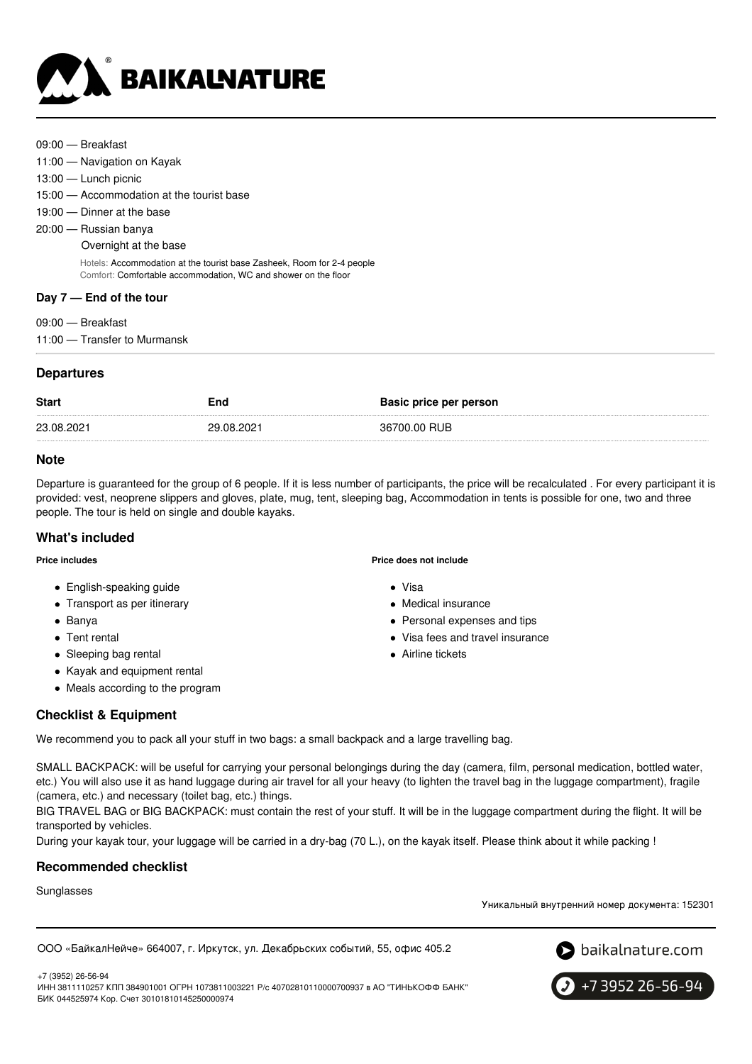

- 09:00 Breakfast
- 11:00 Navigation on Kayak
- 13:00 Lunch picnic
- 15:00 Accommodation at the tourist base
- 19:00 Dinner at the base
- 20:00 Russian banya
	- Overnight at the base

Hotels: Accommodation at the tourist base Zasheek, Room for 2-4 people Comfort: Comfortable accommodation, WC and shower on the floor

### **Day 7 — End of the tour**

- 09:00 Breakfast
- 11:00 Transfer to Murmansk

### **Departures**

| <b>Start</b> | End        | <b>Basic price per person</b> |
|--------------|------------|-------------------------------|
| 23.08.2021   | 29.08.2021 | 36700.00 RUB                  |

### **Note**

Departure is guaranteed for the group of 6 people. If it is less number of participants, the price will be recalculated . For every participant it is provided: vest, neoprene slippers and gloves, plate, mug, tent, sleeping bag, Accommodation in tents is possible for one, two and three people. The tour is held on single and double kayaks.

### **What's included**

**Price includes**

- English-speaking guide
- Transport as per itinerary
- Banya
- Tent rental
- Sleeping bag rental
- Kayak and equipment rental
- Meals according to the program

### **Price does not include**

- Visa
- Medical insurance
- Personal expenses and tips
- Visa fees and travel insurance
- Airline tickets

# **Checklist & Equipment**

We recommend you to pack all your stuff in two bags: a small backpack and a large travelling bag.

SMALL BACKPACK: will be useful for carrying your personal belongings during the day (camera, film, personal medication, bottled water, etc.) You will also use it as hand luggage during air travel for all your heavy (to lighten the travel bag in the luggage compartment), fragile (camera, etc.) and necessary (toilet bag, etc.) things.

BIG TRAVEL BAG or BIG BACKPACK: must contain the rest of your stuff. It will be in the luggage compartment during the flight. It will be transported by vehicles.

During your kayak tour, your luggage will be carried in a dry-bag (70 L.), on the kayak itself. Please think about it while packing !

### **Recommended checklist**

Sunglasses

Уникальный внутренний номер документа: 152301

ООО «БайкалНейче» 664007, г. Иркутск, ул. Декабрьских событий, 55, офис 405.2





+7 (3952) 26-56-94 ИНН 3811110257 КПП 384901001 ОГРН 1073811003221 Р/с 40702810110000700937 в АО "ТИНЬКОФФ БАНК" БИК 044525974 Кор. Счет 30101810145250000974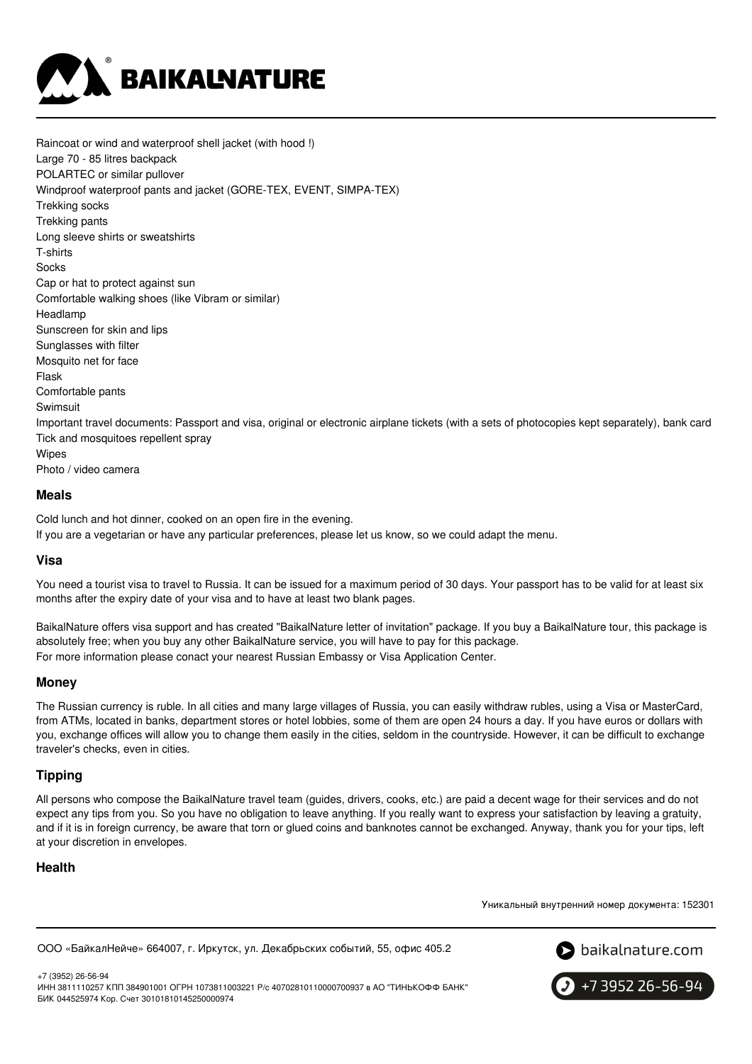

Raincoat or wind and waterproof shell jacket (with hood !) Large 70 - 85 litres backpack POLARTEC or similar pullover Windproof waterproof pants and jacket (GORE-TEX, EVENT, SIMPA-TEX) Trekking socks Trekking pants Long sleeve shirts or sweatshirts T-shirts Socks Cap or hat to protect against sun Comfortable walking shoes (like Vibram or similar) Headlamp Sunscreen for skin and lips Sunglasses with filter Mosquito net for face Flask Comfortable pants Swimsuit Important travel documents: Passport and visa, original or electronic airplane tickets (with a sets of photocopies kept separately), bank card Tick and mosquitoes repellent spray Wipes Photo / video camera

#### **Meals**

Cold lunch and hot dinner, cooked on an open fire in the evening.

If you are a vegetarian or have any particular preferences, please let us know, so we could adapt the menu.

#### **Visa**

You need a tourist visa to travel to Russia. It can be issued for a maximum period of 30 days. Your passport has to be valid for at least six months after the expiry date of your visa and to have at least two blank pages.

BaikalNature offers visa support and has created "BaikalNature letter of invitation" package. If you buy a BaikalNature tour, this package is absolutely free; when you buy any other BaikalNature service, you will have to pay for this package. For more information please conact your nearest Russian Embassy or Visa Application Center.

### **Money**

The Russian currency is ruble. In all cities and many large villages of Russia, you can easily withdraw rubles, using a Visa or MasterCard, from ATMs, located in banks, department stores or hotel lobbies, some of them are open 24 hours a day. If you have euros or dollars with you, exchange offices will allow you to change them easily in the cities, seldom in the countryside. However, it can be difficult to exchange traveler's checks, even in cities.

### **Tipping**

All persons who compose the BaikalNature travel team (guides, drivers, cooks, etc.) are paid a decent wage for their services and do not expect any tips from you. So you have no obligation to leave anything. If you really want to express your satisfaction by leaving a gratuity, and if it is in foreign currency, be aware that torn or glued coins and banknotes cannot be exchanged. Anyway, thank you for your tips, left at your discretion in envelopes.

### **Health**

Уникальный внутренний номер документа: 152301

ООО «БайкалНейче» 664007, г. Иркутск, ул. Декабрьских событий, 55, офис 405.2



+7 (3952) 26-56-94 ИНН 3811110257 КПП 384901001 ОГРН 1073811003221 Р/с 40702810110000700937 в АО "ТИНЬКОФФ БАНК" БИК 044525974 Кор. Счет 30101810145250000974

 $\big\}$  +7 3952 26-56-94